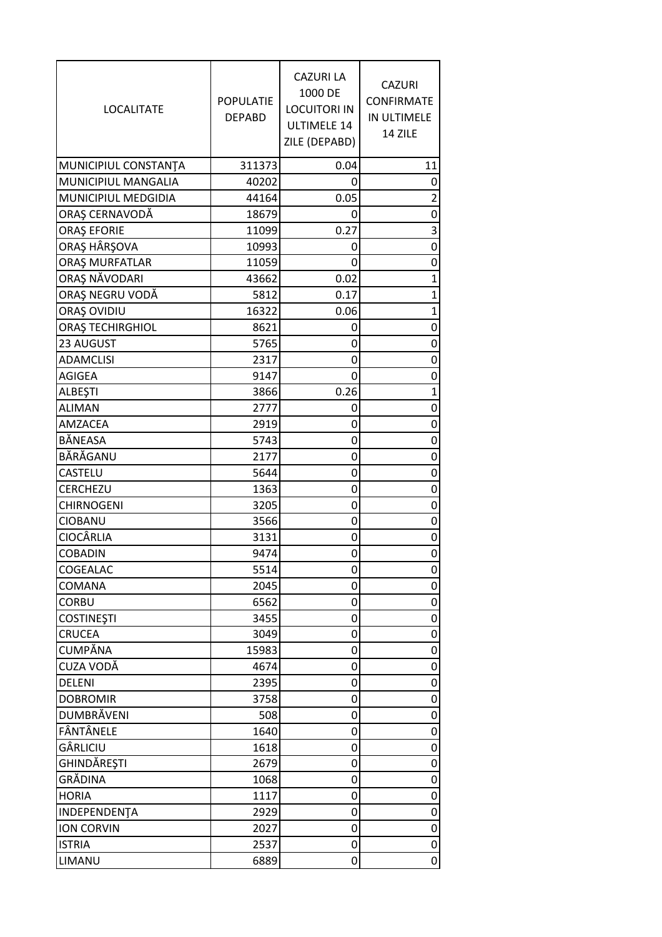| <b>LOCALITATE</b>    | <b>POPULATIE</b><br><b>DEPABD</b> | <b>CAZURI LA</b><br>1000 DE<br><b>LOCUITORI IN</b><br><b>ULTIMELE 14</b><br>ZILE (DEPABD) | <b>CAZURI</b><br><b>CONFIRMATE</b><br>IN ULTIMELE<br>14 ZILE |
|----------------------|-----------------------------------|-------------------------------------------------------------------------------------------|--------------------------------------------------------------|
| MUNICIPIUL CONSTANTA | 311373                            | 0.04                                                                                      | 11                                                           |
| MUNICIPIUL MANGALIA  | 40202                             | 0                                                                                         | 0                                                            |
| MUNICIPIUL MEDGIDIA  | 44164                             | 0.05                                                                                      | $\overline{\mathbf{c}}$                                      |
| ORAȘ CERNAVODĂ       | 18679                             | 0                                                                                         | 0                                                            |
| <b>ORAŞ EFORIE</b>   | 11099                             | 0.27                                                                                      | 3                                                            |
| ORAȘ HÂRȘOVA         | 10993                             | 0                                                                                         | 0                                                            |
| ORAȘ MURFATLAR       | 11059                             | 0                                                                                         | 0                                                            |
| ORAȘ NĂVODARI        | 43662                             | 0.02                                                                                      | 1                                                            |
| ORAȘ NEGRU VODĂ      | 5812                              | 0.17                                                                                      | $\overline{1}$                                               |
| ORAȘ OVIDIU          | 16322                             | 0.06                                                                                      | $\mathbf 1$                                                  |
| ORAȘ TECHIRGHIOL     | 8621                              | 0                                                                                         | 0                                                            |
| 23 AUGUST            | 5765                              | 0                                                                                         | 0                                                            |
| <b>ADAMCLISI</b>     | 2317                              | 0                                                                                         | 0                                                            |
| <b>AGIGEA</b>        | 9147                              | 0                                                                                         | 0                                                            |
| ALBEŞTI              | 3866                              | 0.26                                                                                      | $\mathbf 1$                                                  |
| <b>ALIMAN</b>        | 2777                              | 0                                                                                         | 0                                                            |
| AMZACEA              | 2919                              | 0                                                                                         | 0                                                            |
| BÅNEASA              | 5743                              | 0                                                                                         | 0                                                            |
| BĂRĂGANU             | 2177                              | 0                                                                                         | 0                                                            |
| <b>CASTELU</b>       | 5644                              | 0                                                                                         | 0                                                            |
| CERCHEZU             | 1363                              | 0                                                                                         | 0                                                            |
| <b>CHIRNOGENI</b>    | 3205                              | 0                                                                                         | 0                                                            |
| <b>CIOBANU</b>       | 3566                              | 0                                                                                         | 0                                                            |
| <b>CIOCÂRLIA</b>     | 3131                              | 0                                                                                         | 0                                                            |
| <b>COBADIN</b>       | 9474                              | 0                                                                                         | 0                                                            |
| COGEALAC             | 5514                              | 0                                                                                         | 0                                                            |
| COMANA               | 2045                              | 0                                                                                         | 0                                                            |
| <b>CORBU</b>         | 6562                              | 0                                                                                         | 0                                                            |
| <b>COSTINEȘTI</b>    | 3455                              | 0                                                                                         | 0                                                            |
| <b>CRUCEA</b>        | 3049                              | 0                                                                                         | 0                                                            |
| <b>CUMPĂNA</b>       | 15983                             | 0                                                                                         | 0                                                            |
| CUZA VODĂ            | 4674                              | 0                                                                                         | 0                                                            |
| <b>DELENI</b>        | 2395                              | 0                                                                                         | 0                                                            |
| <b>DOBROMIR</b>      | 3758                              | 0                                                                                         | 0                                                            |
| <b>DUMBRĂVENI</b>    | 508                               | 0                                                                                         | 0                                                            |
| FÂNTÂNELE            | 1640                              | 0                                                                                         | 0                                                            |
| GÂRLICIU             | 1618                              | 0                                                                                         | 0                                                            |
| GHINDĂREȘTI          | 2679                              | 0                                                                                         | 0                                                            |
| GRĂDINA              | 1068                              | 0                                                                                         | 0                                                            |
| <b>HORIA</b>         | 1117                              | 0                                                                                         | 0                                                            |
| INDEPENDENTA         | 2929                              | 0                                                                                         | 0                                                            |
| <b>ION CORVIN</b>    | 2027                              | 0                                                                                         | 0                                                            |
| <b>ISTRIA</b>        | 2537                              | 0                                                                                         | 0                                                            |
| LIMANU               | 6889                              | 0                                                                                         | 0                                                            |